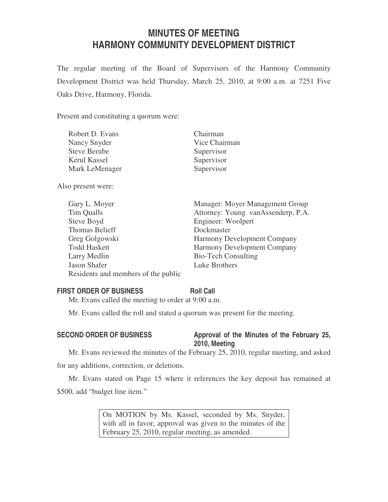# **MINUTES OF MEETING HARMONY COMMUNITY DEVELOPMENT DISTRICT**

The regular meeting of the Board of Supervisors of the Harmony Community Development District was held Thursday, March 25, 2010, at 9:00 a.m. at 7251 Five Oaks Drive, Harmony, Florida.

Present and constituting a quorum were:

| Robert D. Evans     | Chairman      |
|---------------------|---------------|
| Nancy Snyder        | Vice Chairman |
| <b>Steve Berube</b> | Supervisor    |
| Kerul Kassel        | Supervisor    |
| Mark LeMenager      | Supervisor    |
|                     |               |

Also present were:

| Manager: Moyer Management Group    |
|------------------------------------|
| Attorney: Young vanAssenderp, P.A. |
| Engineer: Woolpert                 |
| Dockmaster                         |
| Harmony Development Company        |
| <b>Harmony Development Company</b> |
| <b>Bio-Tech Consulting</b>         |
| Luke Brothers                      |
|                                    |
|                                    |

# **FIRST ORDER OF BUSINESS Roll Call**

Mr. Evans called the meeting to order at 9:00 a.m.

Mr. Evans called the roll and stated a quorum was present for the meeting.

# SECOND ORDER OF BUSINESS Approval of the Minutes of the February 25, **2010, Meeting**

Mr. Evans reviewed the minutes of the February 25, 2010, regular meeting, and asked for any additions, correction, or deletions.

Mr. Evans stated on Page 15 where it references the key deposit has remained at \$500, add "budget line item."

> On MOTION by Ms. Kassel, seconded by Ms. Snyder, with all in favor, approval was given to the minutes of the February 25, 2010, regular meeting, as amended.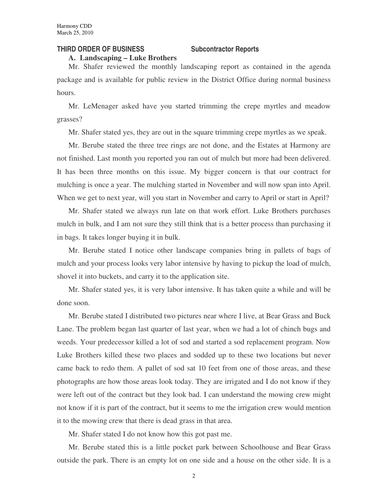#### **THIRD ORDER OF BUSINESS Subcontractor Reports**

**A. Landscaping – Luke Brothers**

Mr. Shafer reviewed the monthly landscaping report as contained in the agenda package and is available for public review in the District Office during normal business hours.

Mr. LeMenager asked have you started trimming the crepe myrtles and meadow grasses?

Mr. Shafer stated yes, they are out in the square trimming crepe myrtles as we speak.

Mr. Berube stated the three tree rings are not done, and the Estates at Harmony are not finished. Last month you reported you ran out of mulch but more had been delivered. It has been three months on this issue. My bigger concern is that our contract for mulching is once a year. The mulching started in November and will now span into April. When we get to next year, will you start in November and carry to April or start in April?

Mr. Shafer stated we always run late on that work effort. Luke Brothers purchases mulch in bulk, and I am not sure they still think that is a better process than purchasing it in bags. It takes longer buying it in bulk.

Mr. Berube stated I notice other landscape companies bring in pallets of bags of mulch and your process looks very labor intensive by having to pickup the load of mulch, shovel it into buckets, and carry it to the application site.

Mr. Shafer stated yes, it is very labor intensive. It has taken quite a while and will be done soon.

Mr. Berube stated I distributed two pictures near where I live, at Bear Grass and Buck Lane. The problem began last quarter of last year, when we had a lot of chinch bugs and weeds. Your predecessor killed a lot of sod and started a sod replacement program. Now Luke Brothers killed these two places and sodded up to these two locations but never came back to redo them. A pallet of sod sat 10 feet from one of those areas, and these photographs are how those areas look today. They are irrigated and I do not know if they were left out of the contract but they look bad. I can understand the mowing crew might not know if it is part of the contract, but it seems to me the irrigation crew would mention it to the mowing crew that there is dead grass in that area.

Mr. Shafer stated I do not know how this got past me.

Mr. Berube stated this is a little pocket park between Schoolhouse and Bear Grass outside the park. There is an empty lot on one side and a house on the other side. It is a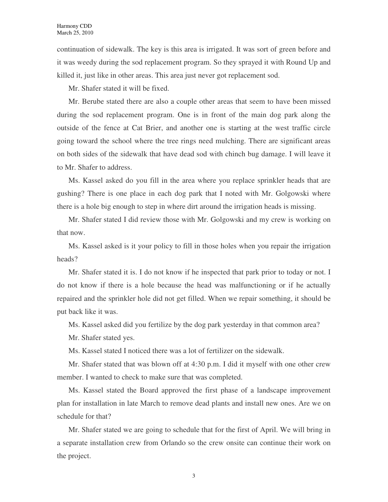continuation of sidewalk. The key is this area is irrigated. It was sort of green before and it was weedy during the sod replacement program. So they sprayed it with Round Up and killed it, just like in other areas. This area just never got replacement sod.

Mr. Shafer stated it will be fixed.

Mr. Berube stated there are also a couple other areas that seem to have been missed during the sod replacement program. One is in front of the main dog park along the outside of the fence at Cat Brier, and another one is starting at the west traffic circle going toward the school where the tree rings need mulching. There are significant areas on both sides of the sidewalk that have dead sod with chinch bug damage. I will leave it to Mr. Shafer to address.

Ms. Kassel asked do you fill in the area where you replace sprinkler heads that are gushing? There is one place in each dog park that I noted with Mr. Golgowski where there is a hole big enough to step in where dirt around the irrigation heads is missing.

Mr. Shafer stated I did review those with Mr. Golgowski and my crew is working on that now.

Ms. Kassel asked is it your policy to fill in those holes when you repair the irrigation heads?

Mr. Shafer stated it is. I do not know if he inspected that park prior to today or not. I do not know if there is a hole because the head was malfunctioning or if he actually repaired and the sprinkler hole did not get filled. When we repair something, it should be put back like it was.

Ms. Kassel asked did you fertilize by the dog park yesterday in that common area?

Mr. Shafer stated yes.

Ms. Kassel stated I noticed there was a lot of fertilizer on the sidewalk.

Mr. Shafer stated that was blown off at 4:30 p.m. I did it myself with one other crew member. I wanted to check to make sure that was completed.

Ms. Kassel stated the Board approved the first phase of a landscape improvement plan for installation in late March to remove dead plants and install new ones. Are we on schedule for that?

Mr. Shafer stated we are going to schedule that for the first of April. We will bring in a separate installation crew from Orlando so the crew onsite can continue their work on the project.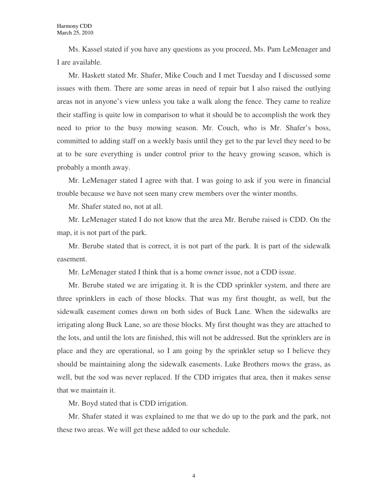Ms. Kassel stated if you have any questions as you proceed, Ms. Pam LeMenager and I are available.

Mr. Haskett stated Mr. Shafer, Mike Couch and I met Tuesday and I discussed some issues with them. There are some areas in need of repair but I also raised the outlying areas not in anyone's view unless you take a walk along the fence. They came to realize their staffing is quite low in comparison to what it should be to accomplish the work they need to prior to the busy mowing season. Mr. Couch, who is Mr. Shafer's boss, committed to adding staff on a weekly basis until they get to the par level they need to be at to be sure everything is under control prior to the heavy growing season, which is probably a month away.

Mr. LeMenager stated I agree with that. I was going to ask if you were in financial trouble because we have not seen many crew members over the winter months.

Mr. Shafer stated no, not at all.

Mr. LeMenager stated I do not know that the area Mr. Berube raised is CDD. On the map, it is not part of the park.

Mr. Berube stated that is correct, it is not part of the park. It is part of the sidewalk easement.

Mr. LeMenager stated I think that is a home owner issue, not a CDD issue.

Mr. Berube stated we are irrigating it. It is the CDD sprinkler system, and there are three sprinklers in each of those blocks. That was my first thought, as well, but the sidewalk easement comes down on both sides of Buck Lane. When the sidewalks are irrigating along Buck Lane, so are those blocks. My first thought was they are attached to the lots, and until the lots are finished, this will not be addressed. But the sprinklers are in place and they are operational, so I am going by the sprinkler setup so I believe they should be maintaining along the sidewalk easements. Luke Brothers mows the grass, as well, but the sod was never replaced. If the CDD irrigates that area, then it makes sense that we maintain it.

Mr. Boyd stated that is CDD irrigation.

Mr. Shafer stated it was explained to me that we do up to the park and the park, not these two areas. We will get these added to our schedule.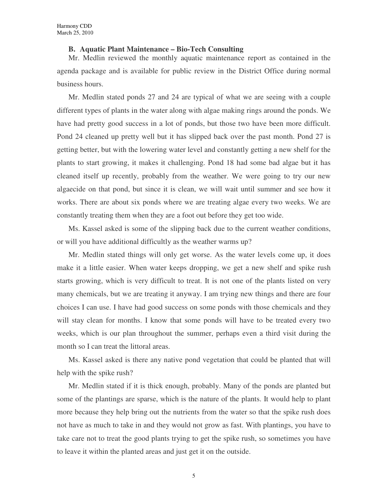#### **B. Aquatic Plant Maintenance – Bio-Tech Consulting**

Mr. Medlin reviewed the monthly aquatic maintenance report as contained in the agenda package and is available for public review in the District Office during normal business hours.

Mr. Medlin stated ponds 27 and 24 are typical of what we are seeing with a couple different types of plants in the water along with algae making rings around the ponds. We have had pretty good success in a lot of ponds, but those two have been more difficult. Pond 24 cleaned up pretty well but it has slipped back over the past month. Pond 27 is getting better, but with the lowering water level and constantly getting a new shelf for the plants to start growing, it makes it challenging. Pond 18 had some bad algae but it has cleaned itself up recently, probably from the weather. We were going to try our new algaecide on that pond, but since it is clean, we will wait until summer and see how it works. There are about six ponds where we are treating algae every two weeks. We are constantly treating them when they are a foot out before they get too wide.

Ms. Kassel asked is some of the slipping back due to the current weather conditions, or will you have additional difficultly as the weather warms up?

Mr. Medlin stated things will only get worse. As the water levels come up, it does make it a little easier. When water keeps dropping, we get a new shelf and spike rush starts growing, which is very difficult to treat. It is not one of the plants listed on very many chemicals, but we are treating it anyway. I am trying new things and there are four choices I can use. I have had good success on some ponds with those chemicals and they will stay clean for months. I know that some ponds will have to be treated every two weeks, which is our plan throughout the summer, perhaps even a third visit during the month so I can treat the littoral areas.

Ms. Kassel asked is there any native pond vegetation that could be planted that will help with the spike rush?

Mr. Medlin stated if it is thick enough, probably. Many of the ponds are planted but some of the plantings are sparse, which is the nature of the plants. It would help to plant more because they help bring out the nutrients from the water so that the spike rush does not have as much to take in and they would not grow as fast. With plantings, you have to take care not to treat the good plants trying to get the spike rush, so sometimes you have to leave it within the planted areas and just get it on the outside.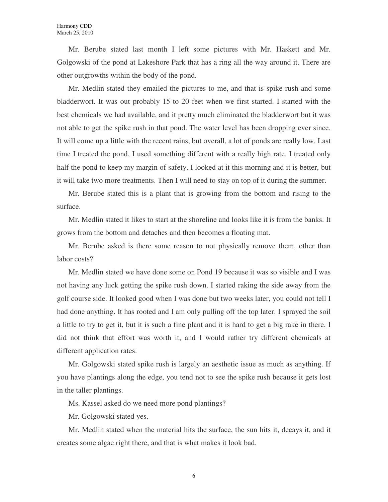Mr. Berube stated last month I left some pictures with Mr. Haskett and Mr. Golgowski of the pond at Lakeshore Park that has a ring all the way around it. There are other outgrowths within the body of the pond.

Mr. Medlin stated they emailed the pictures to me, and that is spike rush and some bladderwort. It was out probably 15 to 20 feet when we first started. I started with the best chemicals we had available, and it pretty much eliminated the bladderwort but it was not able to get the spike rush in that pond. The water level has been dropping ever since. It will come up a little with the recent rains, but overall, a lot of ponds are really low. Last time I treated the pond, I used something different with a really high rate. I treated only half the pond to keep my margin of safety. I looked at it this morning and it is better, but it will take two more treatments. Then I will need to stay on top of it during the summer.

Mr. Berube stated this is a plant that is growing from the bottom and rising to the surface.

Mr. Medlin stated it likes to start at the shoreline and looks like it is from the banks. It grows from the bottom and detaches and then becomes a floating mat.

Mr. Berube asked is there some reason to not physically remove them, other than labor costs?

Mr. Medlin stated we have done some on Pond 19 because it was so visible and I was not having any luck getting the spike rush down. I started raking the side away from the golf course side. It looked good when I was done but two weeks later, you could not tell I had done anything. It has rooted and I am only pulling off the top later. I sprayed the soil a little to try to get it, but it is such a fine plant and it is hard to get a big rake in there. I did not think that effort was worth it, and I would rather try different chemicals at different application rates.

Mr. Golgowski stated spike rush is largely an aesthetic issue as much as anything. If you have plantings along the edge, you tend not to see the spike rush because it gets lost in the taller plantings.

Ms. Kassel asked do we need more pond plantings?

Mr. Golgowski stated yes.

Mr. Medlin stated when the material hits the surface, the sun hits it, decays it, and it creates some algae right there, and that is what makes it look bad.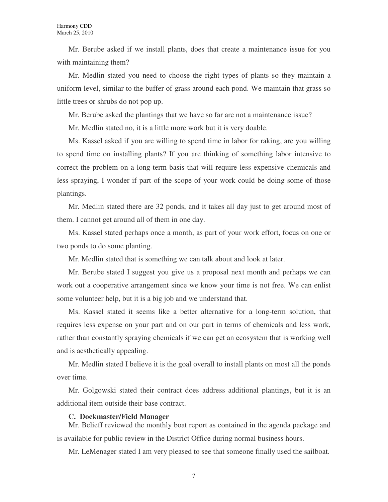Mr. Berube asked if we install plants, does that create a maintenance issue for you with maintaining them?

Mr. Medlin stated you need to choose the right types of plants so they maintain a uniform level, similar to the buffer of grass around each pond. We maintain that grass so little trees or shrubs do not pop up.

Mr. Berube asked the plantings that we have so far are not a maintenance issue?

Mr. Medlin stated no, it is a little more work but it is very doable.

Ms. Kassel asked if you are willing to spend time in labor for raking, are you willing to spend time on installing plants? If you are thinking of something labor intensive to correct the problem on a long-term basis that will require less expensive chemicals and less spraying, I wonder if part of the scope of your work could be doing some of those plantings.

Mr. Medlin stated there are 32 ponds, and it takes all day just to get around most of them. I cannot get around all of them in one day.

Ms. Kassel stated perhaps once a month, as part of your work effort, focus on one or two ponds to do some planting.

Mr. Medlin stated that is something we can talk about and look at later.

Mr. Berube stated I suggest you give us a proposal next month and perhaps we can work out a cooperative arrangement since we know your time is not free. We can enlist some volunteer help, but it is a big job and we understand that.

Ms. Kassel stated it seems like a better alternative for a long-term solution, that requires less expense on your part and on our part in terms of chemicals and less work, rather than constantly spraying chemicals if we can get an ecosystem that is working well and is aesthetically appealing.

Mr. Medlin stated I believe it is the goal overall to install plants on most all the ponds over time.

Mr. Golgowski stated their contract does address additional plantings, but it is an additional item outside their base contract.

#### **C. Dockmaster/Field Manager**

Mr. Belieff reviewed the monthly boat report as contained in the agenda package and is available for public review in the District Office during normal business hours.

Mr. LeMenager stated I am very pleased to see that someone finally used the sailboat.

7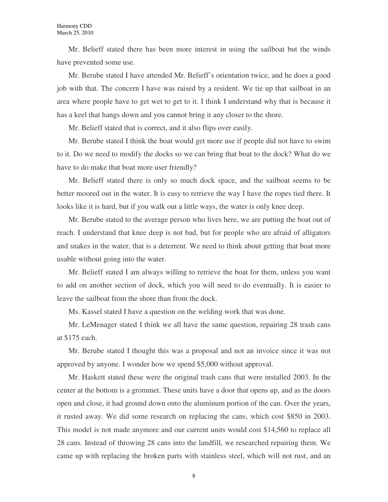Mr. Belieff stated there has been more interest in using the sailboat but the winds have prevented some use.

Mr. Berube stated I have attended Mr. Belieff's orientation twice, and he does a good job with that. The concern I have was raised by a resident. We tie up that sailboat in an area where people have to get wet to get to it. I think I understand why that is because it has a keel that hangs down and you cannot bring it any closer to the shore.

Mr. Belieff stated that is correct, and it also flips over easily.

Mr. Berube stated I think the boat would get more use if people did not have to swim to it. Do we need to modify the docks so we can bring that boat to the dock? What do we have to do make that boat more user friendly?

Mr. Belieff stated there is only so much dock space, and the sailboat seems to be better moored out in the water. It is easy to retrieve the way I have the ropes tied there. It looks like it is hard, but if you walk out a little ways, the water is only knee deep.

Mr. Berube stated to the average person who lives here, we are putting the boat out of reach. I understand that knee deep is not bad, but for people who are afraid of alligators and snakes in the water, that is a deterrent. We need to think about getting that boat more usable without going into the water.

Mr. Belieff stated I am always willing to retrieve the boat for them, unless you want to add on another section of dock, which you will need to do eventually. It is easier to leave the sailboat from the shore than from the dock.

Ms. Kassel stated I have a question on the welding work that was done.

Mr. LeMenager stated I think we all have the same question, repairing 28 trash cans at \$175 each.

Mr. Berube stated I thought this was a proposal and not an invoice since it was not approved by anyone. I wonder how we spend \$5,000 without approval.

Mr. Haskett stated these were the original trash cans that were installed 2003. In the center at the bottom is a grommet. These units have a door that opens up, and as the doors open and close, it had ground down onto the aluminum portion of the can. Over the years, it rusted away. We did some research on replacing the cans, which cost \$850 in 2003. This model is not made anymore and our current units would cost \$14,560 to replace all 28 cans. Instead of throwing 28 cans into the landfill, we researched repairing them. We came up with replacing the broken parts with stainless steel, which will not rust, and an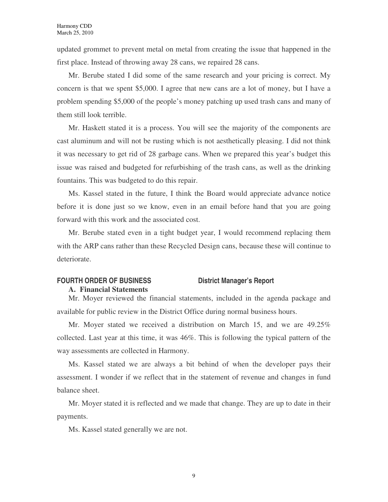updated grommet to prevent metal on metal from creating the issue that happened in the first place. Instead of throwing away 28 cans, we repaired 28 cans.

Mr. Berube stated I did some of the same research and your pricing is correct. My concern is that we spent \$5,000. I agree that new cans are a lot of money, but I have a problem spending \$5,000 of the people's money patching up used trash cans and many of them still look terrible.

Mr. Haskett stated it is a process. You will see the majority of the components are cast aluminum and will not be rusting which is not aesthetically pleasing. I did not think it was necessary to get rid of 28 garbage cans. When we prepared this year's budget this issue was raised and budgeted for refurbishing of the trash cans, as well as the drinking fountains. This was budgeted to do this repair.

Ms. Kassel stated in the future, I think the Board would appreciate advance notice before it is done just so we know, even in an email before hand that you are going forward with this work and the associated cost.

Mr. Berube stated even in a tight budget year, I would recommend replacing them with the ARP cans rather than these Recycled Design cans, because these will continue to deteriorate.

# FOURTH ORDER OF BUSINESS **District Manager's Report**

#### **A. Financial Statements**

Mr. Moyer reviewed the financial statements, included in the agenda package and available for public review in the District Office during normal business hours.

Mr. Moyer stated we received a distribution on March 15, and we are 49.25% collected. Last year at this time, it was 46%. This is following the typical pattern of the way assessments are collected in Harmony.

Ms. Kassel stated we are always a bit behind of when the developer pays their assessment. I wonder if we reflect that in the statement of revenue and changes in fund balance sheet.

Mr. Moyer stated it is reflected and we made that change. They are up to date in their payments.

Ms. Kassel stated generally we are not.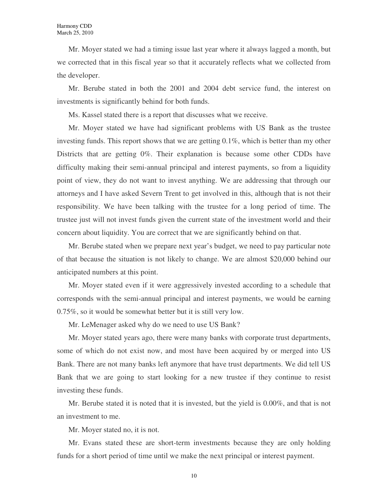Mr. Moyer stated we had a timing issue last year where it always lagged a month, but we corrected that in this fiscal year so that it accurately reflects what we collected from the developer.

Mr. Berube stated in both the 2001 and 2004 debt service fund, the interest on investments is significantly behind for both funds.

Ms. Kassel stated there is a report that discusses what we receive.

Mr. Moyer stated we have had significant problems with US Bank as the trustee investing funds. This report shows that we are getting 0.1%, which is better than my other Districts that are getting 0%. Their explanation is because some other CDDs have difficulty making their semi-annual principal and interest payments, so from a liquidity point of view, they do not want to invest anything. We are addressing that through our attorneys and I have asked Severn Trent to get involved in this, although that is not their responsibility. We have been talking with the trustee for a long period of time. The trustee just will not invest funds given the current state of the investment world and their concern about liquidity. You are correct that we are significantly behind on that.

Mr. Berube stated when we prepare next year's budget, we need to pay particular note of that because the situation is not likely to change. We are almost \$20,000 behind our anticipated numbers at this point.

Mr. Moyer stated even if it were aggressively invested according to a schedule that corresponds with the semi-annual principal and interest payments, we would be earning 0.75%, so it would be somewhat better but it is still very low.

Mr. LeMenager asked why do we need to use US Bank?

Mr. Moyer stated years ago, there were many banks with corporate trust departments, some of which do not exist now, and most have been acquired by or merged into US Bank. There are not many banks left anymore that have trust departments. We did tell US Bank that we are going to start looking for a new trustee if they continue to resist investing these funds.

Mr. Berube stated it is noted that it is invested, but the yield is 0.00%, and that is not an investment to me.

Mr. Moyer stated no, it is not.

Mr. Evans stated these are short-term investments because they are only holding funds for a short period of time until we make the next principal or interest payment.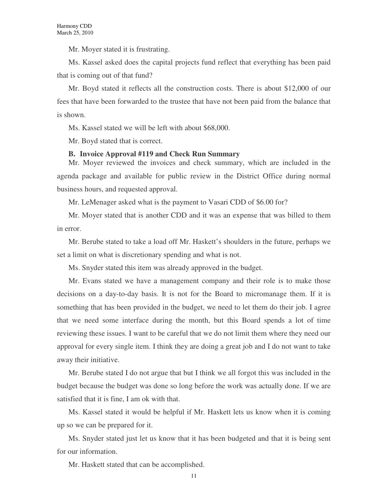Mr. Moyer stated it is frustrating.

Ms. Kassel asked does the capital projects fund reflect that everything has been paid that is coming out of that fund?

Mr. Boyd stated it reflects all the construction costs. There is about \$12,000 of our fees that have been forwarded to the trustee that have not been paid from the balance that is shown.

Ms. Kassel stated we will be left with about \$68,000.

Mr. Boyd stated that is correct.

#### **B. Invoice Approval #119 and Check Run Summary**

Mr. Moyer reviewed the invoices and check summary, which are included in the agenda package and available for public review in the District Office during normal business hours, and requested approval.

Mr. LeMenager asked what is the payment to Vasari CDD of \$6.00 for?

Mr. Moyer stated that is another CDD and it was an expense that was billed to them in error.

Mr. Berube stated to take a load off Mr. Haskett's shoulders in the future, perhaps we set a limit on what is discretionary spending and what is not.

Ms. Snyder stated this item was already approved in the budget.

Mr. Evans stated we have a management company and their role is to make those decisions on a day-to-day basis. It is not for the Board to micromanage them. If it is something that has been provided in the budget, we need to let them do their job. I agree that we need some interface during the month, but this Board spends a lot of time reviewing these issues. I want to be careful that we do not limit them where they need our approval for every single item. I think they are doing a great job and I do not want to take away their initiative.

Mr. Berube stated I do not argue that but I think we all forgot this was included in the budget because the budget was done so long before the work was actually done. If we are satisfied that it is fine, I am ok with that.

Ms. Kassel stated it would be helpful if Mr. Haskett lets us know when it is coming up so we can be prepared for it.

Ms. Snyder stated just let us know that it has been budgeted and that it is being sent for our information.

Mr. Haskett stated that can be accomplished.

11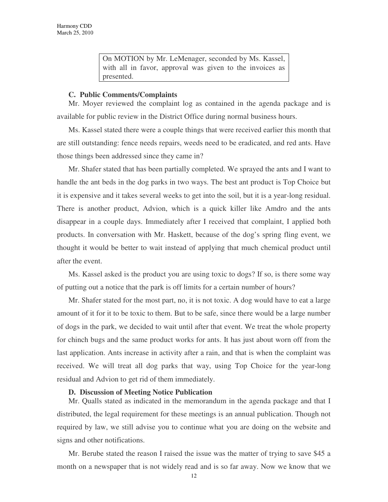On MOTION by Mr. LeMenager, seconded by Ms. Kassel, with all in favor, approval was given to the invoices as presented.

#### **C. Public Comments/Complaints**

Mr. Moyer reviewed the complaint log as contained in the agenda package and is available for public review in the District Office during normal business hours.

Ms. Kassel stated there were a couple things that were received earlier this month that are still outstanding: fence needs repairs, weeds need to be eradicated, and red ants. Have those things been addressed since they came in?

Mr. Shafer stated that has been partially completed. We sprayed the ants and I want to handle the ant beds in the dog parks in two ways. The best ant product is Top Choice but it is expensive and it takes several weeks to get into the soil, but it is a year-long residual. There is another product, Advion, which is a quick killer like Amdro and the ants disappear in a couple days. Immediately after I received that complaint, I applied both products. In conversation with Mr. Haskett, because of the dog's spring fling event, we thought it would be better to wait instead of applying that much chemical product until after the event.

Ms. Kassel asked is the product you are using toxic to dogs? If so, is there some way of putting out a notice that the park is off limits for a certain number of hours?

Mr. Shafer stated for the most part, no, it is not toxic. A dog would have to eat a large amount of it for it to be toxic to them. But to be safe, since there would be a large number of dogs in the park, we decided to wait until after that event. We treat the whole property for chinch bugs and the same product works for ants. It has just about worn off from the last application. Ants increase in activity after a rain, and that is when the complaint was received. We will treat all dog parks that way, using Top Choice for the year-long residual and Advion to get rid of them immediately.

#### **D. Discussion of Meeting Notice Publication**

Mr. Qualls stated as indicated in the memorandum in the agenda package and that I distributed, the legal requirement for these meetings is an annual publication. Though not required by law, we still advise you to continue what you are doing on the website and signs and other notifications.

Mr. Berube stated the reason I raised the issue was the matter of trying to save \$45 a month on a newspaper that is not widely read and is so far away. Now we know that we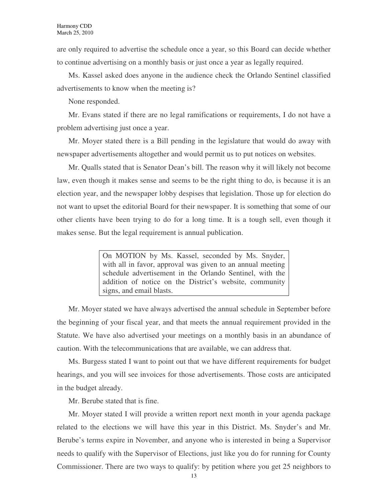are only required to advertise the schedule once a year, so this Board can decide whether to continue advertising on a monthly basis or just once a year as legally required.

Ms. Kassel asked does anyone in the audience check the Orlando Sentinel classified advertisements to know when the meeting is?

None responded.

Mr. Evans stated if there are no legal ramifications or requirements, I do not have a problem advertising just once a year.

Mr. Moyer stated there is a Bill pending in the legislature that would do away with newspaper advertisements altogether and would permit us to put notices on websites.

Mr. Qualls stated that is Senator Dean's bill. The reason why it will likely not become law, even though it makes sense and seems to be the right thing to do, is because it is an election year, and the newspaper lobby despises that legislation. Those up for election do not want to upset the editorial Board for their newspaper. It is something that some of our other clients have been trying to do for a long time. It is a tough sell, even though it makes sense. But the legal requirement is annual publication.

> On MOTION by Ms. Kassel, seconded by Ms. Snyder, with all in favor, approval was given to an annual meeting schedule advertisement in the Orlando Sentinel, with the addition of notice on the District's website, community signs, and email blasts.

Mr. Moyer stated we have always advertised the annual schedule in September before the beginning of your fiscal year, and that meets the annual requirement provided in the Statute. We have also advertised your meetings on a monthly basis in an abundance of caution. With the telecommunications that are available, we can address that.

Ms. Burgess stated I want to point out that we have different requirements for budget hearings, and you will see invoices for those advertisements. Those costs are anticipated in the budget already.

Mr. Berube stated that is fine.

Mr. Moyer stated I will provide a written report next month in your agenda package related to the elections we will have this year in this District. Ms. Snyder's and Mr. Berube's terms expire in November, and anyone who is interested in being a Supervisor needs to qualify with the Supervisor of Elections, just like you do for running for County Commissioner. There are two ways to qualify: by petition where you get 25 neighbors to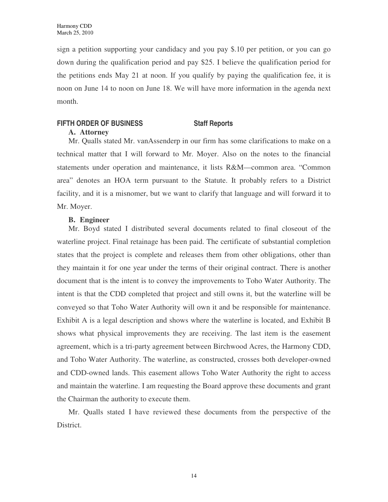sign a petition supporting your candidacy and you pay \$.10 per petition, or you can go down during the qualification period and pay \$25. I believe the qualification period for the petitions ends May 21 at noon. If you qualify by paying the qualification fee, it is noon on June 14 to noon on June 18. We will have more information in the agenda next month.

## **FIFTH ORDER OF BUSINESS Staff Reports**

#### **A. Attorney**

Mr. Qualls stated Mr. vanAssenderp in our firm has some clarifications to make on a technical matter that I will forward to Mr. Moyer. Also on the notes to the financial statements under operation and maintenance, it lists R&M—common area. "Common area" denotes an HOA term pursuant to the Statute. It probably refers to a District facility, and it is a misnomer, but we want to clarify that language and will forward it to Mr. Moyer.

### **B. Engineer**

Mr. Boyd stated I distributed several documents related to final closeout of the waterline project. Final retainage has been paid. The certificate of substantial completion states that the project is complete and releases them from other obligations, other than they maintain it for one year under the terms of their original contract. There is another document that is the intent is to convey the improvements to Toho Water Authority. The intent is that the CDD completed that project and still owns it, but the waterline will be conveyed so that Toho Water Authority will own it and be responsible for maintenance. Exhibit A is a legal description and shows where the waterline is located, and Exhibit B shows what physical improvements they are receiving. The last item is the easement agreement, which is a tri-party agreement between Birchwood Acres, the Harmony CDD, and Toho Water Authority. The waterline, as constructed, crosses both developer-owned and CDD-owned lands. This easement allows Toho Water Authority the right to access and maintain the waterline. I am requesting the Board approve these documents and grant the Chairman the authority to execute them.

Mr. Qualls stated I have reviewed these documents from the perspective of the District.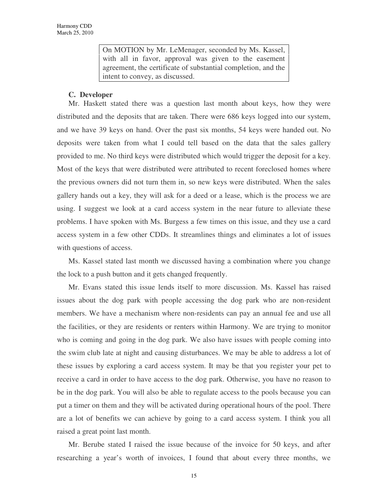On MOTION by Mr. LeMenager, seconded by Ms. Kassel, with all in favor, approval was given to the easement agreement, the certificate of substantial completion, and the intent to convey, as discussed.

### **C. Developer**

Mr. Haskett stated there was a question last month about keys, how they were distributed and the deposits that are taken. There were 686 keys logged into our system, and we have 39 keys on hand. Over the past six months, 54 keys were handed out. No deposits were taken from what I could tell based on the data that the sales gallery provided to me. No third keys were distributed which would trigger the deposit for a key. Most of the keys that were distributed were attributed to recent foreclosed homes where the previous owners did not turn them in, so new keys were distributed. When the sales gallery hands out a key, they will ask for a deed or a lease, which is the process we are using. I suggest we look at a card access system in the near future to alleviate these problems. I have spoken with Ms. Burgess a few times on this issue, and they use a card access system in a few other CDDs. It streamlines things and eliminates a lot of issues with questions of access.

Ms. Kassel stated last month we discussed having a combination where you change the lock to a push button and it gets changed frequently.

Mr. Evans stated this issue lends itself to more discussion. Ms. Kassel has raised issues about the dog park with people accessing the dog park who are non-resident members. We have a mechanism where non-residents can pay an annual fee and use all the facilities, or they are residents or renters within Harmony. We are trying to monitor who is coming and going in the dog park. We also have issues with people coming into the swim club late at night and causing disturbances. We may be able to address a lot of these issues by exploring a card access system. It may be that you register your pet to receive a card in order to have access to the dog park. Otherwise, you have no reason to be in the dog park. You will also be able to regulate access to the pools because you can put a timer on them and they will be activated during operational hours of the pool. There are a lot of benefits we can achieve by going to a card access system. I think you all raised a great point last month.

Mr. Berube stated I raised the issue because of the invoice for 50 keys, and after researching a year's worth of invoices, I found that about every three months, we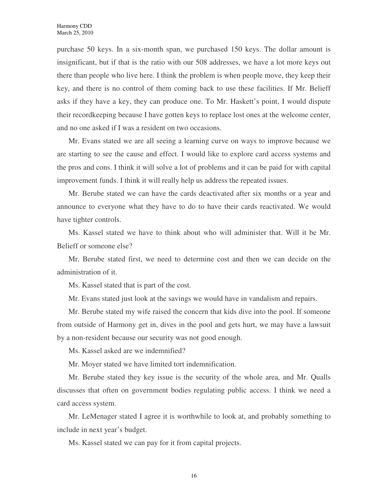purchase 50 keys. In a six-month span, we purchased 150 keys. The dollar amount is insignificant, but if that is the ratio with our 508 addresses, we have a lot more keys out there than people who live here. I think the problem is when people move, they keep their key, and there is no control of them coming back to use these facilities. If Mr. Belieff asks if they have a key, they can produce one. To Mr. Haskett's point, I would dispute their recordkeeping because I have gotten keys to replace lost ones at the welcome center, and no one asked if I was a resident on two occasions.

Mr. Evans stated we are all seeing a learning curve on ways to improve because we are starting to see the cause and effect. I would like to explore card access systems and the pros and cons. I think it will solve a lot of problems and it can be paid for with capital improvement funds. I think it will really help us address the repeated issues.

Mr. Berube stated we can have the cards deactivated after six months or a year and announce to everyone what they have to do to have their cards reactivated. We would have tighter controls.

Ms. Kassel stated we have to think about who will administer that. Will it be Mr. Belieff or someone else?

Mr. Berube stated first, we need to determine cost and then we can decide on the administration of it.

Ms. Kassel stated that is part of the cost.

Mr. Evans stated just look at the savings we would have in vandalism and repairs.

Mr. Berube stated my wife raised the concern that kids dive into the pool. If someone from outside of Harmony get in, dives in the pool and gets hurt, we may have a lawsuit by a non-resident because our security was not good enough.

Ms. Kassel asked are we indemnified?

Mr. Moyer stated we have limited tort indemnification.

Mr. Berube stated they key issue is the security of the whole area, and Mr. Qualls discusses that often on government bodies regulating public access. I think we need a card access system.

Mr. LeMenager stated I agree it is worthwhile to look at, and probably something to include in next year's budget.

Ms. Kassel stated we can pay for it from capital projects.

16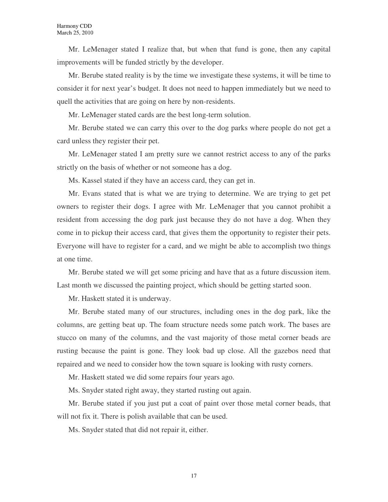Mr. LeMenager stated I realize that, but when that fund is gone, then any capital improvements will be funded strictly by the developer.

Mr. Berube stated reality is by the time we investigate these systems, it will be time to consider it for next year's budget. It does not need to happen immediately but we need to quell the activities that are going on here by non-residents.

Mr. LeMenager stated cards are the best long-term solution.

Mr. Berube stated we can carry this over to the dog parks where people do not get a card unless they register their pet.

Mr. LeMenager stated I am pretty sure we cannot restrict access to any of the parks strictly on the basis of whether or not someone has a dog.

Ms. Kassel stated if they have an access card, they can get in.

Mr. Evans stated that is what we are trying to determine. We are trying to get pet owners to register their dogs. I agree with Mr. LeMenager that you cannot prohibit a resident from accessing the dog park just because they do not have a dog. When they come in to pickup their access card, that gives them the opportunity to register their pets. Everyone will have to register for a card, and we might be able to accomplish two things at one time.

Mr. Berube stated we will get some pricing and have that as a future discussion item. Last month we discussed the painting project, which should be getting started soon.

Mr. Haskett stated it is underway.

Mr. Berube stated many of our structures, including ones in the dog park, like the columns, are getting beat up. The foam structure needs some patch work. The bases are stucco on many of the columns, and the vast majority of those metal corner beads are rusting because the paint is gone. They look bad up close. All the gazebos need that repaired and we need to consider how the town square is looking with rusty corners.

Mr. Haskett stated we did some repairs four years ago.

Ms. Snyder stated right away, they started rusting out again.

Mr. Berube stated if you just put a coat of paint over those metal corner beads, that will not fix it. There is polish available that can be used.

Ms. Snyder stated that did not repair it, either.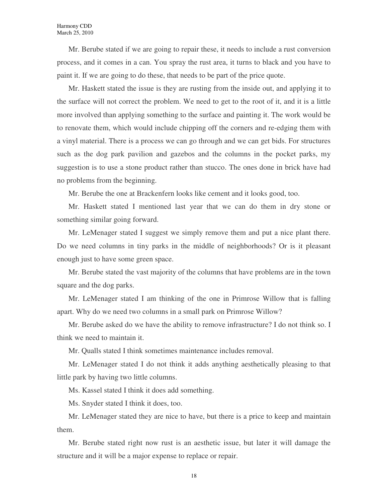Mr. Berube stated if we are going to repair these, it needs to include a rust conversion process, and it comes in a can. You spray the rust area, it turns to black and you have to paint it. If we are going to do these, that needs to be part of the price quote.

Mr. Haskett stated the issue is they are rusting from the inside out, and applying it to the surface will not correct the problem. We need to get to the root of it, and it is a little more involved than applying something to the surface and painting it. The work would be to renovate them, which would include chipping off the corners and re-edging them with a vinyl material. There is a process we can go through and we can get bids. For structures such as the dog park pavilion and gazebos and the columns in the pocket parks, my suggestion is to use a stone product rather than stucco. The ones done in brick have had no problems from the beginning.

Mr. Berube the one at Brackenfern looks like cement and it looks good, too.

Mr. Haskett stated I mentioned last year that we can do them in dry stone or something similar going forward.

Mr. LeMenager stated I suggest we simply remove them and put a nice plant there. Do we need columns in tiny parks in the middle of neighborhoods? Or is it pleasant enough just to have some green space.

Mr. Berube stated the vast majority of the columns that have problems are in the town square and the dog parks.

Mr. LeMenager stated I am thinking of the one in Primrose Willow that is falling apart. Why do we need two columns in a small park on Primrose Willow?

Mr. Berube asked do we have the ability to remove infrastructure? I do not think so. I think we need to maintain it.

Mr. Qualls stated I think sometimes maintenance includes removal.

Mr. LeMenager stated I do not think it adds anything aesthetically pleasing to that little park by having two little columns.

Ms. Kassel stated I think it does add something.

Ms. Snyder stated I think it does, too.

Mr. LeMenager stated they are nice to have, but there is a price to keep and maintain them.

Mr. Berube stated right now rust is an aesthetic issue, but later it will damage the structure and it will be a major expense to replace or repair.

18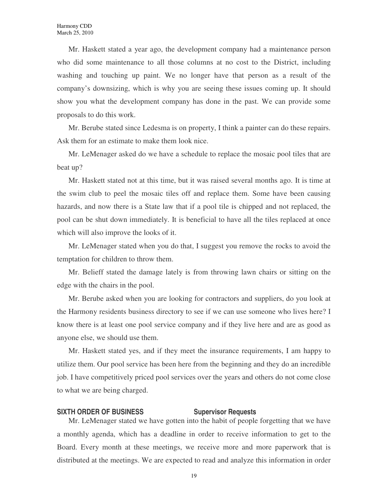Mr. Haskett stated a year ago, the development company had a maintenance person who did some maintenance to all those columns at no cost to the District, including washing and touching up paint. We no longer have that person as a result of the company's downsizing, which is why you are seeing these issues coming up. It should show you what the development company has done in the past. We can provide some proposals to do this work.

Mr. Berube stated since Ledesma is on property, I think a painter can do these repairs. Ask them for an estimate to make them look nice.

Mr. LeMenager asked do we have a schedule to replace the mosaic pool tiles that are beat up?

Mr. Haskett stated not at this time, but it was raised several months ago. It is time at the swim club to peel the mosaic tiles off and replace them. Some have been causing hazards, and now there is a State law that if a pool tile is chipped and not replaced, the pool can be shut down immediately. It is beneficial to have all the tiles replaced at once which will also improve the looks of it.

Mr. LeMenager stated when you do that, I suggest you remove the rocks to avoid the temptation for children to throw them.

Mr. Belieff stated the damage lately is from throwing lawn chairs or sitting on the edge with the chairs in the pool.

Mr. Berube asked when you are looking for contractors and suppliers, do you look at the Harmony residents business directory to see if we can use someone who lives here? I know there is at least one pool service company and if they live here and are as good as anyone else, we should use them.

Mr. Haskett stated yes, and if they meet the insurance requirements, I am happy to utilize them. Our pool service has been here from the beginning and they do an incredible job. I have competitively priced pool services over the years and others do not come close to what we are being charged.

#### **SIXTH ORDER OF BUSINESS SUPERVISOR Requests**

Mr. LeMenager stated we have gotten into the habit of people forgetting that we have a monthly agenda, which has a deadline in order to receive information to get to the Board. Every month at these meetings, we receive more and more paperwork that is distributed at the meetings. We are expected to read and analyze this information in order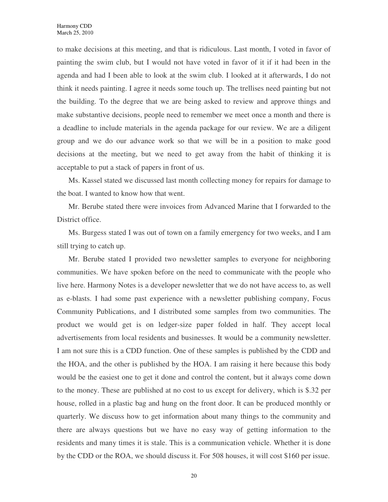to make decisions at this meeting, and that is ridiculous. Last month, I voted in favor of painting the swim club, but I would not have voted in favor of it if it had been in the agenda and had I been able to look at the swim club. I looked at it afterwards, I do not think it needs painting. I agree it needs some touch up. The trellises need painting but not the building. To the degree that we are being asked to review and approve things and make substantive decisions, people need to remember we meet once a month and there is a deadline to include materials in the agenda package for our review. We are a diligent group and we do our advance work so that we will be in a position to make good decisions at the meeting, but we need to get away from the habit of thinking it is acceptable to put a stack of papers in front of us.

Ms. Kassel stated we discussed last month collecting money for repairs for damage to the boat. I wanted to know how that went.

Mr. Berube stated there were invoices from Advanced Marine that I forwarded to the District office.

Ms. Burgess stated I was out of town on a family emergency for two weeks, and I am still trying to catch up.

Mr. Berube stated I provided two newsletter samples to everyone for neighboring communities. We have spoken before on the need to communicate with the people who live here. Harmony Notes is a developer newsletter that we do not have access to, as well as e-blasts. I had some past experience with a newsletter publishing company, Focus Community Publications, and I distributed some samples from two communities. The product we would get is on ledger-size paper folded in half. They accept local advertisements from local residents and businesses. It would be a community newsletter. I am not sure this is a CDD function. One of these samples is published by the CDD and the HOA, and the other is published by the HOA. I am raising it here because this body would be the easiest one to get it done and control the content, but it always come down to the money. These are published at no cost to us except for delivery, which is \$.32 per house, rolled in a plastic bag and hung on the front door. It can be produced monthly or quarterly. We discuss how to get information about many things to the community and there are always questions but we have no easy way of getting information to the residents and many times it is stale. This is a communication vehicle. Whether it is done by the CDD or the ROA, we should discuss it. For 508 houses, it will cost \$160 per issue.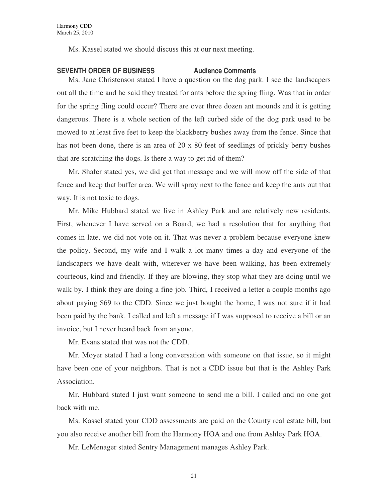Ms. Kassel stated we should discuss this at our next meeting.

#### **SEVENTH ORDER OF BUSINESS Audience Comments**

Ms. Jane Christenson stated I have a question on the dog park. I see the landscapers out all the time and he said they treated for ants before the spring fling. Was that in order for the spring fling could occur? There are over three dozen ant mounds and it is getting dangerous. There is a whole section of the left curbed side of the dog park used to be mowed to at least five feet to keep the blackberry bushes away from the fence. Since that has not been done, there is an area of 20 x 80 feet of seedlings of prickly berry bushes that are scratching the dogs. Is there a way to get rid of them?

Mr. Shafer stated yes, we did get that message and we will mow off the side of that fence and keep that buffer area. We will spray next to the fence and keep the ants out that way. It is not toxic to dogs.

Mr. Mike Hubbard stated we live in Ashley Park and are relatively new residents. First, whenever I have served on a Board, we had a resolution that for anything that comes in late, we did not vote on it. That was never a problem because everyone knew the policy. Second, my wife and I walk a lot many times a day and everyone of the landscapers we have dealt with, wherever we have been walking, has been extremely courteous, kind and friendly. If they are blowing, they stop what they are doing until we walk by. I think they are doing a fine job. Third, I received a letter a couple months ago about paying \$69 to the CDD. Since we just bought the home, I was not sure if it had been paid by the bank. I called and left a message if I was supposed to receive a bill or an invoice, but I never heard back from anyone.

Mr. Evans stated that was not the CDD.

Mr. Moyer stated I had a long conversation with someone on that issue, so it might have been one of your neighbors. That is not a CDD issue but that is the Ashley Park Association.

Mr. Hubbard stated I just want someone to send me a bill. I called and no one got back with me.

Ms. Kassel stated your CDD assessments are paid on the County real estate bill, but you also receive another bill from the Harmony HOA and one from Ashley Park HOA.

Mr. LeMenager stated Sentry Management manages Ashley Park.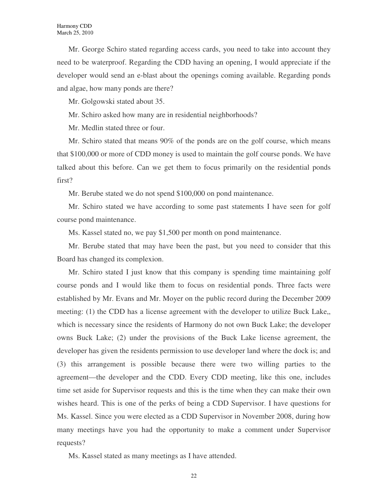Mr. George Schiro stated regarding access cards, you need to take into account they need to be waterproof. Regarding the CDD having an opening, I would appreciate if the developer would send an e-blast about the openings coming available. Regarding ponds and algae, how many ponds are there?

Mr. Golgowski stated about 35.

Mr. Schiro asked how many are in residential neighborhoods?

Mr. Medlin stated three or four.

Mr. Schiro stated that means 90% of the ponds are on the golf course, which means that \$100,000 or more of CDD money is used to maintain the golf course ponds. We have talked about this before. Can we get them to focus primarily on the residential ponds first?

Mr. Berube stated we do not spend \$100,000 on pond maintenance.

Mr. Schiro stated we have according to some past statements I have seen for golf course pond maintenance.

Ms. Kassel stated no, we pay \$1,500 per month on pond maintenance.

Mr. Berube stated that may have been the past, but you need to consider that this Board has changed its complexion.

Mr. Schiro stated I just know that this company is spending time maintaining golf course ponds and I would like them to focus on residential ponds. Three facts were established by Mr. Evans and Mr. Moyer on the public record during the December 2009 meeting: (1) the CDD has a license agreement with the developer to utilize Buck Lake,, which is necessary since the residents of Harmony do not own Buck Lake; the developer owns Buck Lake; (2) under the provisions of the Buck Lake license agreement, the developer has given the residents permission to use developer land where the dock is; and (3) this arrangement is possible because there were two willing parties to the agreement—the developer and the CDD. Every CDD meeting, like this one, includes time set aside for Supervisor requests and this is the time when they can make their own wishes heard. This is one of the perks of being a CDD Supervisor. I have questions for Ms. Kassel. Since you were elected as a CDD Supervisor in November 2008, during how many meetings have you had the opportunity to make a comment under Supervisor requests?

Ms. Kassel stated as many meetings as I have attended.